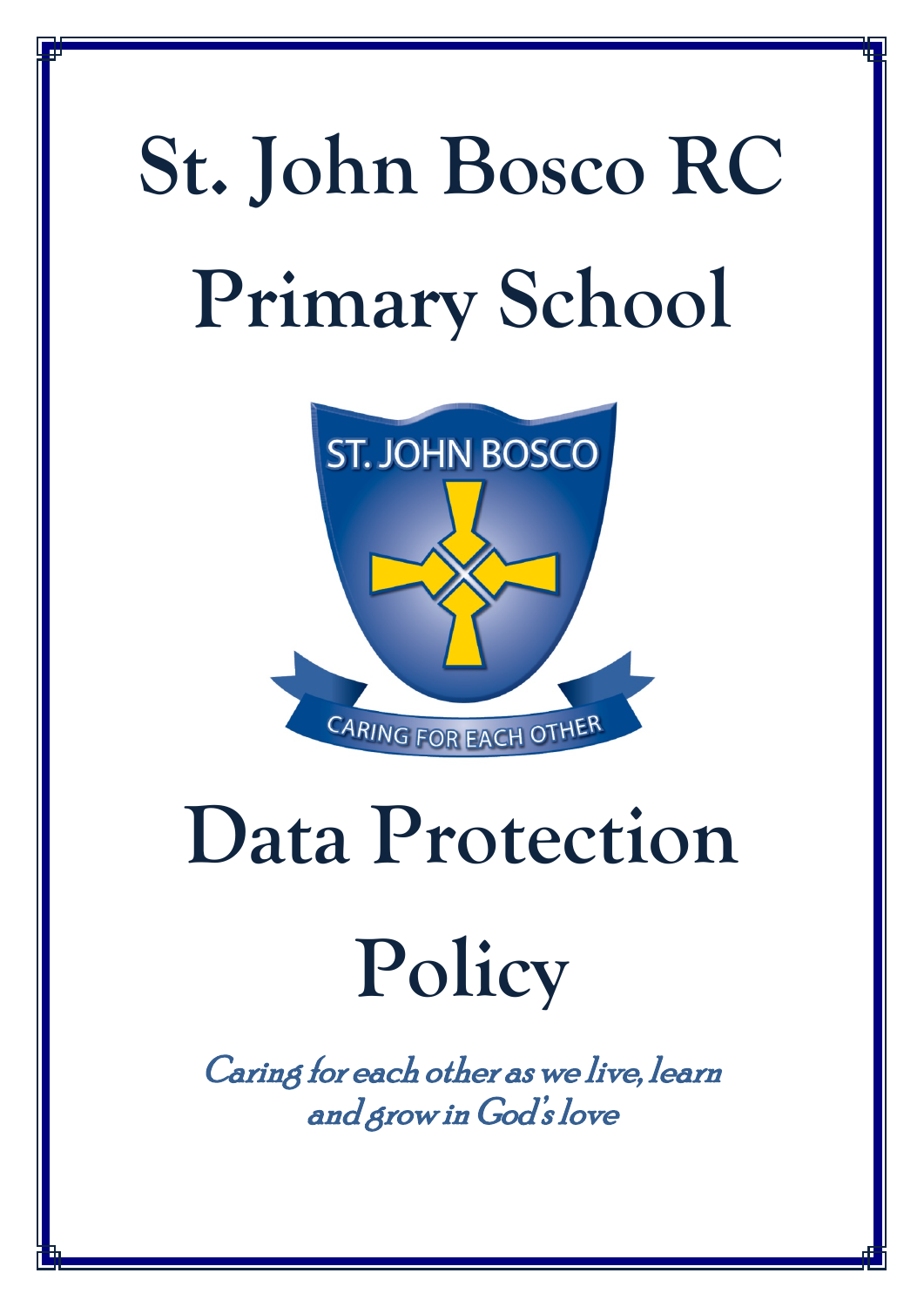# **St. John Bosco RC Primary School**



## **Data Protection**

### **Policy**

Caring for each other as we live, learn and grow in God's love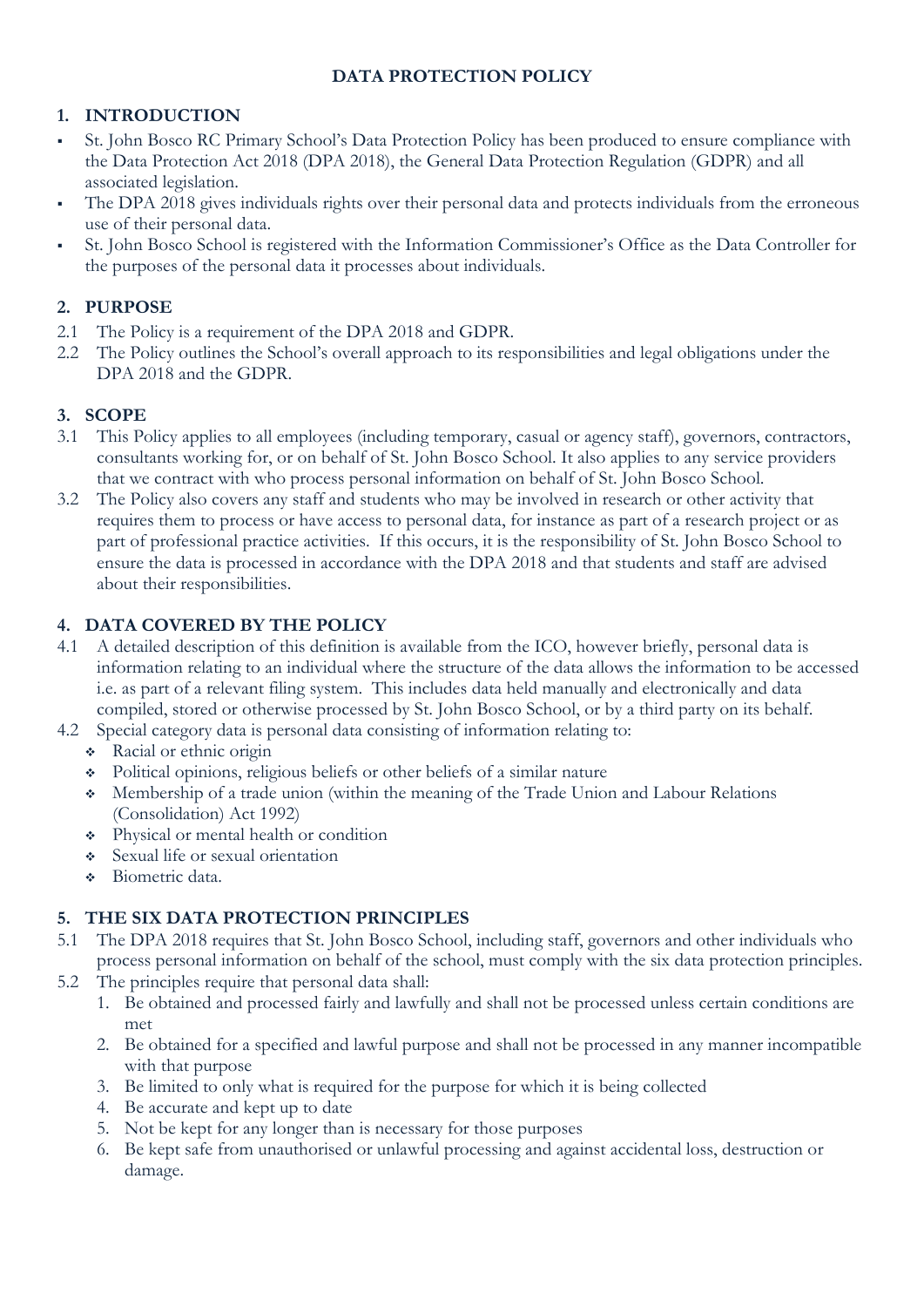#### **DATA PROTECTION POLICY**

#### **1. INTRODUCTION**

- St. John Bosco RC Primary School's Data Protection Policy has been produced to ensure compliance with the Data Protection Act 2018 (DPA 2018), the General Data Protection Regulation (GDPR) and all associated legislation.
- The DPA 2018 gives individuals rights over their personal data and protects individuals from the erroneous use of their personal data.
- St. John Bosco School is registered with the Information Commissioner's Office as the Data Controller for the purposes of the personal data it processes about individuals.

#### **2. PURPOSE**

- 2.1 The Policy is a requirement of the DPA 2018 and GDPR.
- 2.2 The Policy outlines the School's overall approach to its responsibilities and legal obligations under the DPA 2018 and the GDPR.

#### **3. SCOPE**

- 3.1 This Policy applies to all employees (including temporary, casual or agency staff), governors, contractors, consultants working for, or on behalf of St. John Bosco School. It also applies to any service providers that we contract with who process personal information on behalf of St. John Bosco School.
- 3.2 The Policy also covers any staff and students who may be involved in research or other activity that requires them to process or have access to personal data, for instance as part of a research project or as part of professional practice activities. If this occurs, it is the responsibility of St. John Bosco School to ensure the data is processed in accordance with the DPA 2018 and that students and staff are advised about their responsibilities.

#### **4. DATA COVERED BY THE POLICY**

- 4.1 A detailed description of this definition is available from the ICO, however briefly, personal data is information relating to an individual where the structure of the data allows the information to be accessed i.e. as part of a relevant filing system. This includes data held manually and electronically and data compiled, stored or otherwise processed by St. John Bosco School, or by a third party on its behalf.
- 4.2 Special category data is personal data consisting of information relating to:
	- Racial or ethnic origin
	- Political opinions, religious beliefs or other beliefs of a similar nature
	- Membership of a trade union (within the meaning of the Trade Union and Labour Relations (Consolidation) Act 1992)
	- Physical or mental health or condition
	- Sexual life or sexual orientation
	- Biometric data.

#### **5. THE SIX DATA PROTECTION PRINCIPLES**

- 5.1 The DPA 2018 requires that St. John Bosco School, including staff, governors and other individuals who process personal information on behalf of the school, must comply with the six data protection principles.
- 5.2 The principles require that personal data shall:
	- 1. Be obtained and processed fairly and lawfully and shall not be processed unless certain conditions are met
	- 2. Be obtained for a specified and lawful purpose and shall not be processed in any manner incompatible with that purpose
	- 3. Be limited to only what is required for the purpose for which it is being collected
	- 4. Be accurate and kept up to date
	- 5. Not be kept for any longer than is necessary for those purposes
	- 6. Be kept safe from unauthorised or unlawful processing and against accidental loss, destruction or damage.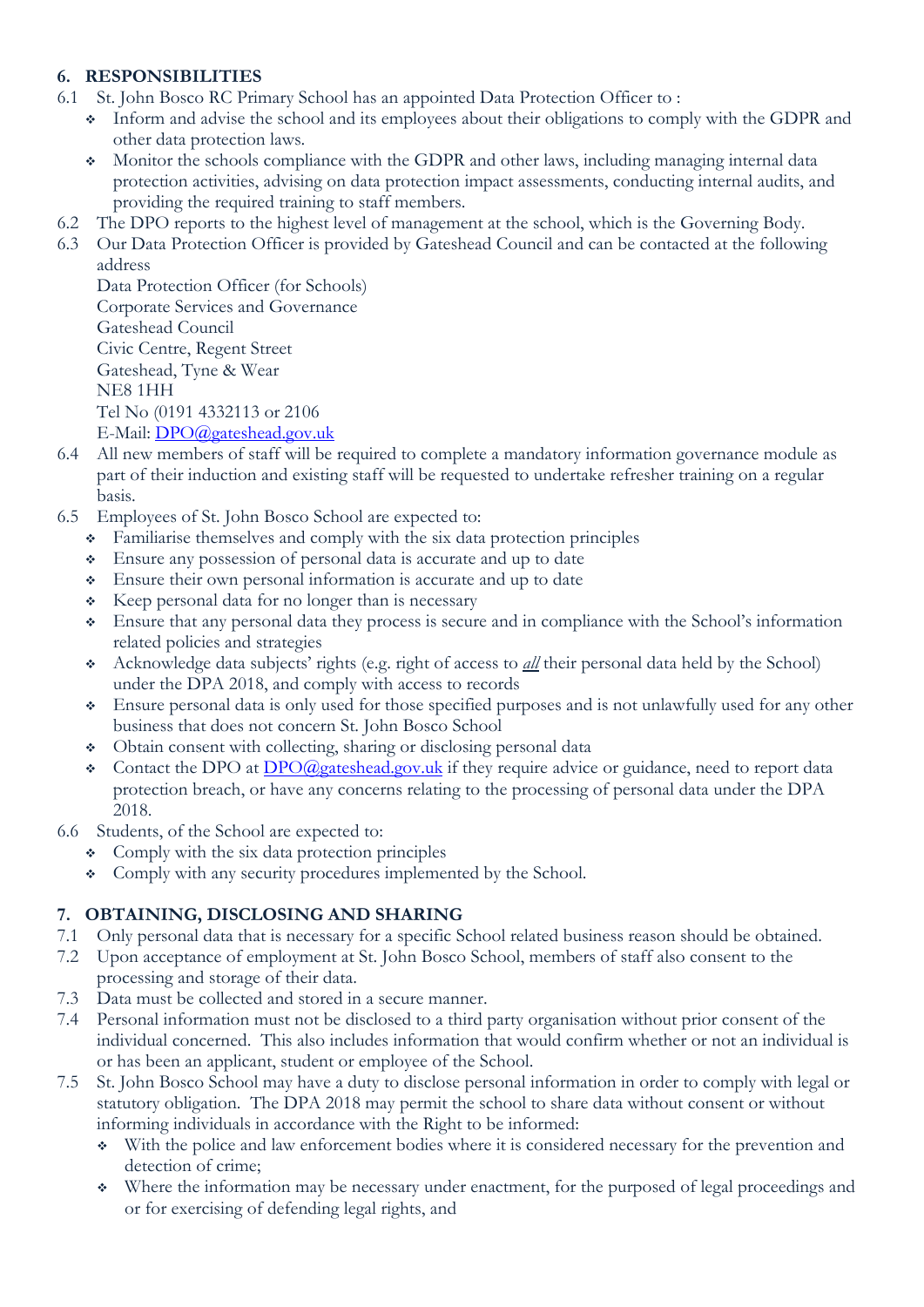#### **6. RESPONSIBILITIES**

- 6.1 St. John Bosco RC Primary School has an appointed Data Protection Officer to :
	- Inform and advise the school and its employees about their obligations to comply with the GDPR and other data protection laws.
	- Monitor the schools compliance with the GDPR and other laws, including managing internal data protection activities, advising on data protection impact assessments, conducting internal audits, and providing the required training to staff members.
- 6.2 The DPO reports to the highest level of management at the school, which is the Governing Body.
- 6.3 Our Data Protection Officer is provided by Gateshead Council and can be contacted at the following address

```
Data Protection Officer (for Schools)
Corporate Services and Governance
Gateshead Council
Civic Centre, Regent Street
Gateshead, Tyne & Wear
NE8 1HH
Tel No (0191 4332113 or 2106
E-Mail: DPO@gateshead.gov.uk
```
- 6.4 All new members of staff will be required to complete a mandatory information governance module as part of their induction and existing staff will be requested to undertake refresher training on a regular basis.
- 6.5 Employees of St. John Bosco School are expected to:
	- Familiarise themselves and comply with the six data protection principles
	- Ensure any possession of personal data is accurate and up to date
	- Ensure their own personal information is accurate and up to date
	- $\triangleleft$  Keep personal data for no longer than is necessary
	- Ensure that any personal data they process is secure and in compliance with the School's information related policies and strategies
	- Acknowledge data subjects' rights (e.g. right of access to *all* their personal data held by the School) under the DPA 2018, and comply with access to records
	- Ensure personal data is only used for those specified purposes and is not unlawfully used for any other business that does not concern St. John Bosco School
	- Obtain consent with collecting, sharing or disclosing personal data
	- Contact [the](mailto:dataprotection@glos.ac.uk) DPO at **DPO@gateshead.gov.uk** if they require advice or guidance, need to report data protection breach, or have any concerns relating to the processing of personal data under the DPA 2018.
- 6.6 Students, of the School are expected to:
	- Comply with the six data protection principles
	- Comply with any security procedures implemented by the School.

#### **7. OBTAINING, DISCLOSING AND SHARING**

- 7.1 Only personal data that is necessary for a specific School related business reason should be obtained.
- 7.2 Upon acceptance of employment at St. John Bosco School, members of staff also consent to the processing and storage of their data.
- 7.3 Data must be collected and stored in a secure manner.
- 7.4 Personal information must not be disclosed to a third party organisation without prior consent of the individual concerned. This also includes information that would confirm whether or not an individual is or has been an applicant, student or employee of the School.
- 7.5 St. John Bosco School may have a duty to disclose personal information in order to comply with legal or statutory obligation. The DPA 2018 may permit the school to share data without consent or without informing individuals in accordance with the Right to be informed:
	- With the police and law enforcement bodies where it is considered necessary for the prevention and detection of crime;
	- Where the information may be necessary under enactment, for the purposed of legal proceedings and or for exercising of defending legal rights, and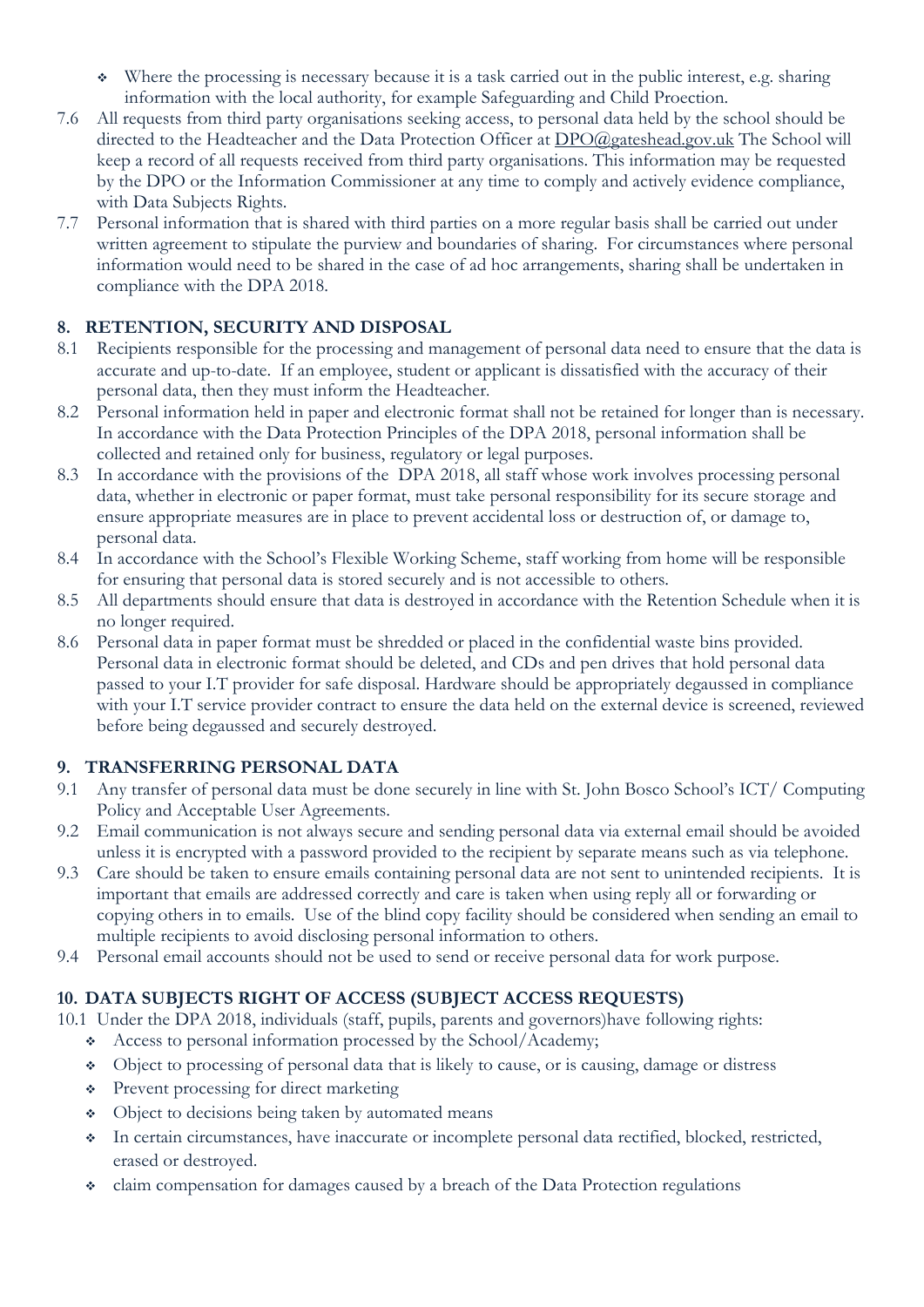- Where the processing is necessary because it is a task carried out in the public interest, e.g. sharing information with the local authority, for example Safeguarding and Child Proection.
- 7.6 All requests from third party organisations seeking access, to personal data held by the school should be directed to the Headteacher and the Data Protection Officer at [DPO@gateshead.gov.uk](mailto:DPO@gateshead.gov.uk) The School will keep a record of all requests received from third party organisations. This information may be requested by the DPO or the Information Commissioner at any time to comply and actively evidence compliance, with Data Subjects Rights.
- 7.7 Personal information that is shared with third parties on a more regular basis shall be carried out under written agreement to stipulate the purview and boundaries of sharing. For circumstances where personal information would need to be shared in the case of ad hoc arrangements, sharing shall be undertaken in compliance with the DPA 2018.

#### **8. RETENTION, SECURITY AND DISPOSAL**

- 8.1 Recipients responsible for the processing and management of personal data need to ensure that the data is accurate and up-to-date. If an employee, student or applicant is dissatisfied with the accuracy of their personal data, then they must inform the Headteacher.
- 8.2 Personal information held in paper and electronic format shall not be retained for longer than is necessary. In accordance with the Data Protection Principles of the DPA 2018, personal information shall be collected and retained only for business, regulatory or legal purposes.
- 8.3 In accordance with the provisions of the DPA 2018, all staff whose work involves processing personal data, whether in electronic or paper format, must take personal responsibility for its secure storage and ensure appropriate measures are in place to prevent accidental loss or destruction of, or damage to, personal data.
- 8.4 In accordance with the School's Flexible Working Scheme, staff working from home will be responsible for ensuring that personal data is stored securely and is not accessible to others.
- 8.5 All departments should ensure that data is destroyed in accordance with the Retention Schedule when it is no longer required.
- 8.6 Personal data in paper format must be shredded or placed in the confidential waste bins provided. Personal data in electronic format should be deleted, and CDs and pen drives that hold personal data passed to your I.T provider for safe disposal. Hardware should be appropriately degaussed in compliance with your I.T service provider contract to ensure the data held on the external device is screened, reviewed before being degaussed and securely destroyed.

#### **9. TRANSFERRING PERSONAL DATA**

- 9.1 Any transfer of personal data must be done securely in line with St. John Bosco School's ICT/ Computing Policy and Acceptable User Agreements.
- 9.2 Email communication is not always secure and sending personal data via external email should be avoided unless it is encrypted with a password provided to the recipient by separate means such as via telephone.
- 9.3 Care should be taken to ensure emails containing personal data are not sent to unintended recipients. It is important that emails are addressed correctly and care is taken when using reply all or forwarding or copying others in to emails. Use of the blind copy facility should be considered when sending an email to multiple recipients to avoid disclosing personal information to others.
- 9.4 Personal email accounts should not be used to send or receive personal data for work purpose.

#### **10. DATA SUBJECTS RIGHT OF ACCESS (SUBJECT ACCESS REQUESTS)**

- 10.1 Under the DPA 2018, individuals (staff, pupils, parents and governors)have following rights:
	- Access to personal information processed by the School/Academy;
	- Object to processing of personal data that is likely to cause, or is causing, damage or distress
	- Prevent processing for direct marketing
	- Object to decisions being taken by automated means
	- In certain circumstances, have inaccurate or incomplete personal data rectified, blocked, restricted, erased or destroyed.
	- claim compensation for damages caused by a breach of the Data Protection regulations